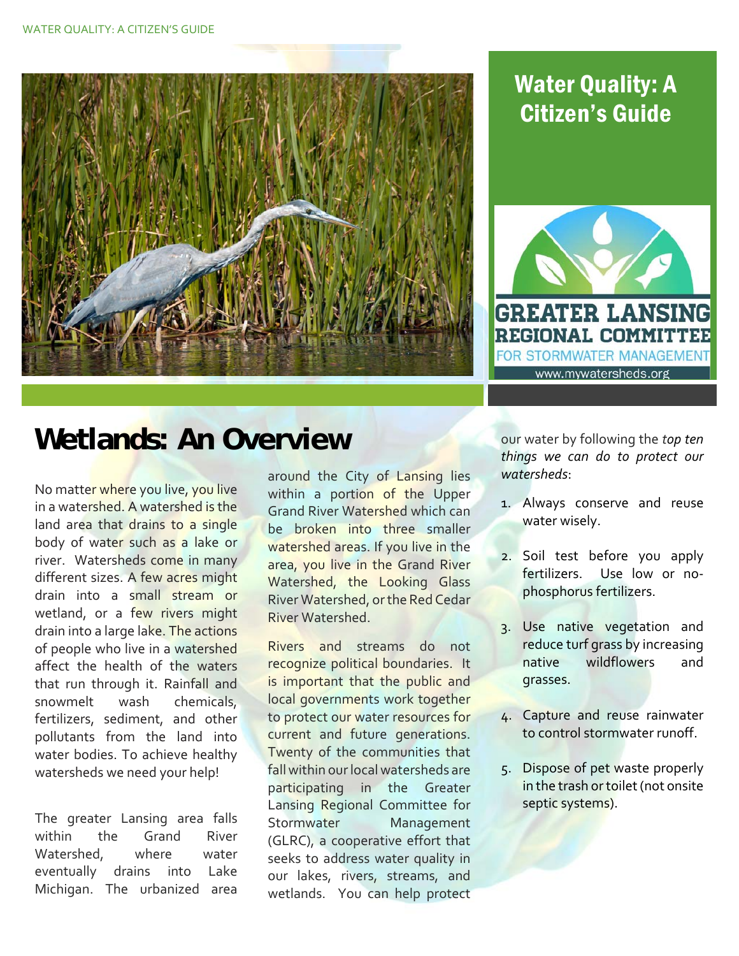

## Water Quality: A Citizen's Guide



## **Wetlands: An Overview**

No matte<mark>r wher</mark>e you live, you live in a wate<mark>rshed. A watershed is the</mark> land area that drains to a single body of water such as a lake or river. Watersheds come in many different sizes. A few acres might drain into a small stream or wetland, or a few rivers might drain into a large lake. The actions of people who live in a watershed affect the health of the waters that run through it. Rainfall and snowmelt wash fertilizers, sediment, and other pollutants from the land into water bodies. To achieve healthy watersheds we need your help! chemicals,

 The greater Lansing area falls within the Grand River where water eventually drains into Lake Michigan. The urbanized area Watershed.

around the City of Lansing lies within a portion of the Upper Grand River Watershed which can be broken into three smaller watershed areas. If you live in the area, you live in the Grand River Watershed, the Looking Glass River Watershed, orthe Red Cedar River Watershed.

Rivers and streams do not recognize political boundaries. It is important that the public and local governments work together to protect our water resources for current and future generations. Twenty of the communities that fall within ourlocal watersheds are participating in the Greater Lansing Regional Committee for (GLRC), a cooperative effort that seeks to address water quality in our lakes, rivers, streams, and wetlands. You can help protect Stormwater Management

  our water by following the *top ten things we can do to protect our watersheds*:

- 1. Always conserve and reuse water wisely.
- 2. Soil test before you apply fertilizers. Use low or no‐ phosphorus fertilizers.
- 3. Use native vegetation and reduce turf grass by increasing and native wildflowers grasses.
- 4. Capture and reuse rainwater to control stormwater runoff.
- 5. Dispose of pet waste properly in the trash or toilet (not onsite septic systems).